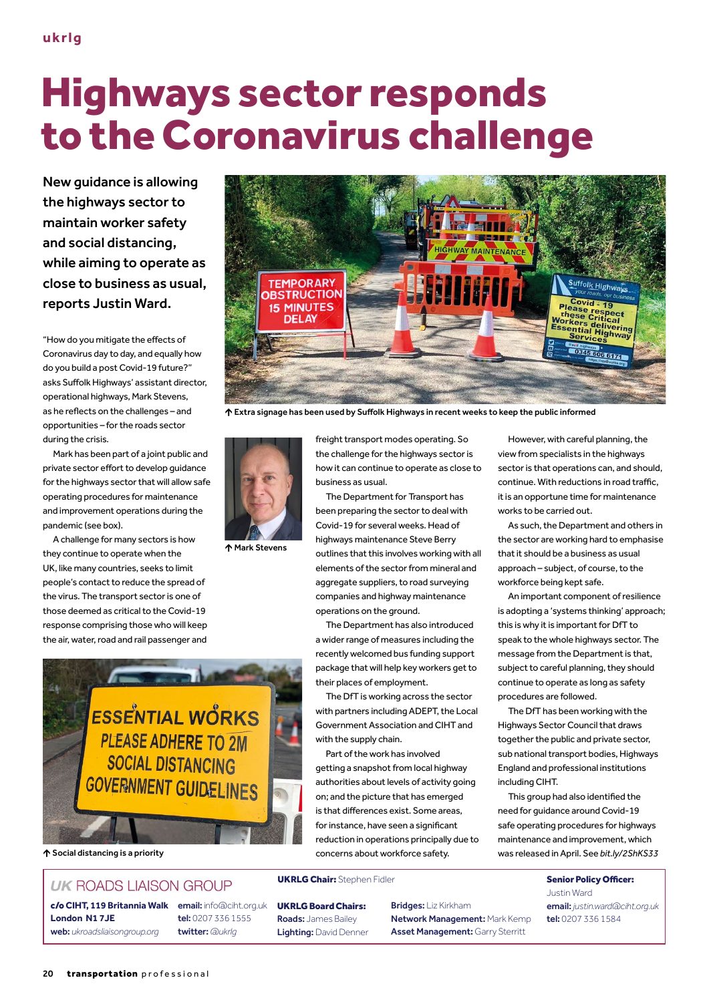# Highways sector responds to the Coronavirus challenge

New guidance is allowing the highways sector to maintain worker safety and social distancing, while aiming to operate as close to business as usual, reports Justin Ward.

"How do you mitigate the effects of Coronavirus day to day, and equally how do you build a post Covid-19 future?" asks Suffolk Highways' assistant director, operational highways, Mark Stevens, as he reflects on the challenges – and opportunities – for the roads sector during the crisis.

Mark has been part of a joint public and private sector effort to develop guidance for the highways sector that will allow safe operating procedures for maintenance and improvement operations during the pandemic (see box).

A challenge for many sectors is how they continue to operate when the UK, like many countries, seeks to limit people's contact to reduce the spread of the virus. The transport sector is one of those deemed as critical to the Covid-19 response comprising those who will keep the air, water, road and rail passenger and



Extra signage has been used by Suffolk Highways in recent weeks to keep the public informed



Mark Stevens

**ESSENTIAL WORKS PLEASE ADHERE TO 2M SOCIAL DISTANCING GOVERNMENT GUIDELINES** 

#### **UK ROADS LIAISON GROUP**

c/o **CIHT, 119 Britannia Walk** email: info@ciht.org.uk **London N1 7JE** web: *ukroadsliaisongroup.org*

tel: 0207 336 1555 twitter: *@ukrlg*

freight transport modes operating. So the challenge for the highways sector is how it can continue to operate as close to business as usual.

The Department for Transport has been preparing the sector to deal with Covid-19 for several weeks. Head of highways maintenance Steve Berry outlines that this involves working with all elements of the sector from mineral and aggregate suppliers, to road surveying companies and highway maintenance operations on the ground.

The Department has also introduced a wider range of measures including the recently welcomed bus funding support package that will help key workers get to their places of employment.

The DfT is working across the sector with partners including ADEPT, the Local Government Association and CIHT and with the supply chain.

Part of the work has involved getting a snapshot from local highway authorities about levels of activity going on; and the picture that has emerged is that differences exist. Some areas, for instance, have seen a significant reduction in operations principally due to concerns about workforce safety. Social distancing is a priority was released in April. See *bit.ly/2ShKS33*

#### UKRLG Chair: Stephen Fidler Senior Policy Officer:

UKRLG Board Chairs: Roads: James Bailey Lighting: David Denner Bridges: Liz Kirkham Network Management: Mark Kemp Asset Management: Garry Sterritt

However, with careful planning, the view from specialists in the highways sector is that operations can, and should, continue. With reductions in road traffic, it is an opportune time for maintenance works to be carried out.

As such, the Department and others in the sector are working hard to emphasise that it should be a business as usual approach – subject, of course, to the workforce being kept safe.

An important component of resilience is adopting a 'systems thinking' approach; this is why it is important for DfT to speak to the whole highways sector. The message from the Department is that, subject to careful planning, they should continue to operate as long as safety procedures are followed.

The DfT has been working with the Highways Sector Council that draws together the public and private sector, sub national transport bodies, Highways England and professional institutions including CIHT.

This group had also identified the need for guidance around Covid-19 safe operating procedures for highways maintenance and improvement, which

> Justin Ward email: *justin.ward@ciht.org.uk* tel: 0207 336 1584